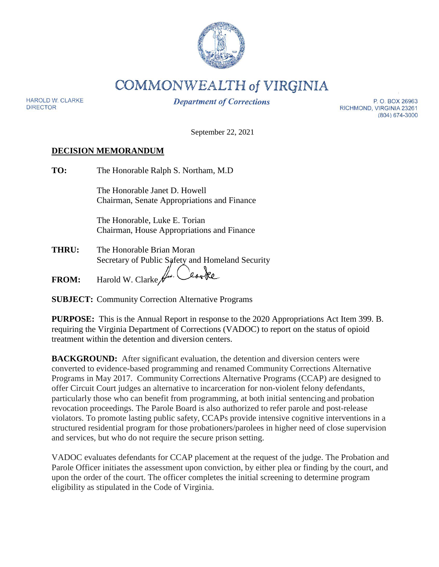

**COMMONWEALTH of VIRGINIA** 

**HAROLD W. CLARKE DIRECTOR** 

**Department of Corrections** 

P.O. BOX 26963 RICHMOND, VIRGINIA 23261 (804) 674-3000

September 22, 2021

#### **DECISION MEMORANDUM**

| TO:          | The Honorable Ralph S. Northam, M.D.             |  |  |  |  |
|--------------|--------------------------------------------------|--|--|--|--|
|              | The Honorable Janet D. Howell                    |  |  |  |  |
|              | Chairman, Senate Appropriations and Finance      |  |  |  |  |
|              | The Honorable, Luke E. Torian                    |  |  |  |  |
|              | Chairman, House Appropriations and Finance       |  |  |  |  |
| THRU:        | The Honorable Brian Moran                        |  |  |  |  |
|              | Secretary of Public Safety and Homeland Security |  |  |  |  |
| <b>FROM:</b> | Harold W. Clarke $\mathcal{H}$ .                 |  |  |  |  |
|              |                                                  |  |  |  |  |

**SUBJECT:** Community Correction Alternative Programs

**PURPOSE:** This is the Annual Report in response to the 2020 Appropriations Act Item 399. B. requiring the Virginia Department of Corrections (VADOC) to report on the status of opioid treatment within the detention and diversion centers.

**BACKGROUND:** After significant evaluation, the detention and diversion centers were converted to evidence-based programming and renamed Community Corrections Alternative Programs in May 2017. Community Corrections Alternative Programs (CCAP) are designed to offer Circuit Court judges an alternative to incarceration for non-violent felony defendants, particularly those who can benefit from programming, at both initial sentencing and probation revocation proceedings. The Parole Board is also authorized to refer parole and post-release violators. To promote lasting public safety, CCAPs provide intensive cognitive interventions in a structured residential program for those probationers/parolees in higher need of close supervision and services, but who do not require the secure prison setting.

VADOC evaluates defendants for CCAP placement at the request of the judge. The Probation and Parole Officer initiates the assessment upon conviction, by either plea or finding by the court, and upon the order of the court. The officer completes the initial screening to determine program eligibility as stipulated in the Code of Virginia.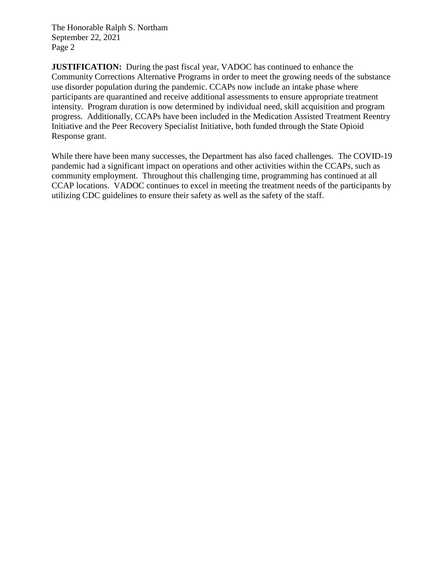The Honorable Ralph S. Northam September 22, 2021 Page 2

**JUSTIFICATION:** During the past fiscal year, VADOC has continued to enhance the Community Corrections Alternative Programs in order to meet the growing needs of the substance use disorder population during the pandemic. CCAPs now include an intake phase where participants are quarantined and receive additional assessments to ensure appropriate treatment intensity. Program duration is now determined by individual need, skill acquisition and program progress. Additionally, CCAPs have been included in the Medication Assisted Treatment Reentry Initiative and the Peer Recovery Specialist Initiative, both funded through the State Opioid Response grant.

While there have been many successes, the Department has also faced challenges. The COVID-19 pandemic had a significant impact on operations and other activities within the CCAPs, such as community employment. Throughout this challenging time, programming has continued at all CCAP locations. VADOC continues to excel in meeting the treatment needs of the participants by utilizing CDC guidelines to ensure their safety as well as the safety of the staff.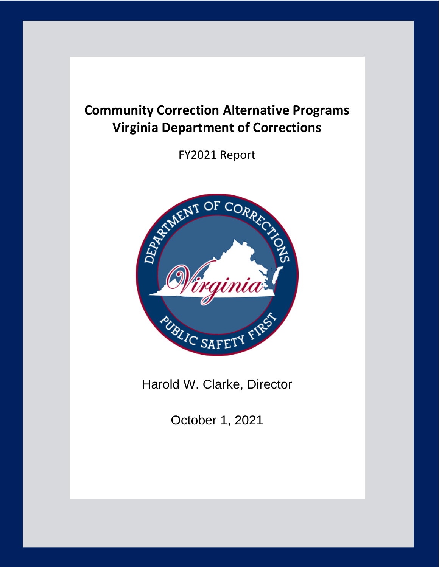# **Community Correction Alternative Programs Virginia Department of Corrections**

FY2021 Report



Harold W. Clarke, Director

October 1, 2021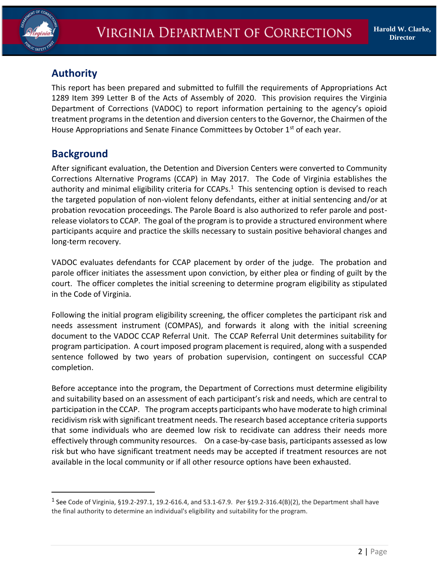

## **Authority**

This report has been prepared and submitted to fulfill the requirements of Appropriations Act 1289 Item 399 Letter B of the Acts of Assembly of 2020. This provision requires the Virginia Department of Corrections (VADOC) to report information pertaining to the agency's opioid treatment programs in the detention and diversion centers to the Governor, the Chairmen of the House Appropriations and Senate Finance Committees by October 1<sup>st</sup> of each year.

### **Background**

 $\overline{a}$ 

After significant evaluation, the Detention and Diversion Centers were converted to Community Corrections Alternative Programs (CCAP) in May 2017. The Code of Virginia establishes the authority and minimal eligibility criteria for  $CCAPs<sup>1</sup>$ . This sentencing option is devised to reach the targeted population of non-violent felony defendants, either at initial sentencing and/or at probation revocation proceedings. The Parole Board is also authorized to refer parole and postrelease violators to CCAP. The goal of the program is to provide a structured environment where participants acquire and practice the skills necessary to sustain positive behavioral changes and long-term recovery.

VADOC evaluates defendants for CCAP placement by order of the judge. The probation and parole officer initiates the assessment upon conviction, by either plea or finding of guilt by the court. The officer completes the initial screening to determine program eligibility as stipulated in the Code of Virginia.

Following the initial program eligibility screening, the officer completes the participant risk and needs assessment instrument (COMPAS), and forwards it along with the initial screening document to the VADOC CCAP Referral Unit. The CCAP Referral Unit determines suitability for program participation. A court imposed program placement is required, along with a suspended sentence followed by two years of probation supervision, contingent on successful CCAP completion.

Before acceptance into the program, the Department of Corrections must determine eligibility and suitability based on an assessment of each participant's risk and needs, which are central to participation in the CCAP. The program accepts participants who have moderate to high criminal recidivism risk with significant treatment needs. The research based acceptance criteria supports that some individuals who are deemed low risk to recidivate can address their needs more effectively through community resources. On a case-by-case basis, participants assessed as low risk but who have significant treatment needs may be accepted if treatment resources are not available in the local community or if all other resource options have been exhausted.

<sup>&</sup>lt;sup>1</sup> See Code of Virginia, §19.2-297.1, 19.2-616.4, and 53.1-67.9. Per §19.2-316.4(B)(2), the Department shall have the final authority to determine an individual's eligibility and suitability for the program.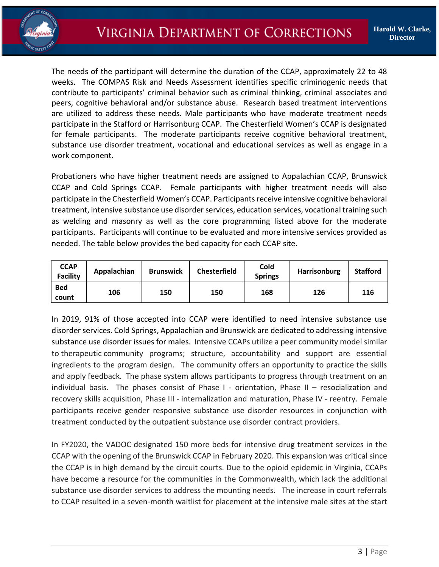

The needs of the participant will determine the duration of the CCAP, approximately 22 to 48 weeks. The COMPAS Risk and Needs Assessment identifies specific criminogenic needs that contribute to participants' criminal behavior such as criminal thinking, criminal associates and peers, cognitive behavioral and/or substance abuse. Research based treatment interventions are utilized to address these needs. Male participants who have moderate treatment needs participate in the Stafford or Harrisonburg CCAP. The Chesterfield Women's CCAP is designated for female participants. The moderate participants receive cognitive behavioral treatment, substance use disorder treatment, vocational and educational services as well as engage in a work component.

Probationers who have higher treatment needs are assigned to Appalachian CCAP, Brunswick CCAP and Cold Springs CCAP. Female participants with higher treatment needs will also participate in the Chesterfield Women's CCAP. Participants receive intensive cognitive behavioral treatment, intensive substance use disorder services, education services, vocational training such as welding and masonry as well as the core programming listed above for the moderate participants. Participants will continue to be evaluated and more intensive services provided as needed. The table below provides the bed capacity for each CCAP site.

| <b>CCAP</b><br><b>Facility</b> | Appalachian | <b>Brunswick</b> | <b>Chesterfield</b> | Cold<br><b>Springs</b> | Harrisonburg | <b>Stafford</b> |
|--------------------------------|-------------|------------------|---------------------|------------------------|--------------|-----------------|
| <b>Bed</b><br>count            | 106         | 150              | 150                 | 168                    | 126          | 116             |

In 2019, 91% of those accepted into CCAP were identified to need intensive substance use disorder services. Cold Springs, Appalachian and Brunswick are dedicated to addressing intensive substance use disorder issues for males. Intensive CCAPs utilize a peer community model similar to therapeutic community programs; structure, accountability and support are essential ingredients to the program design. The community offers an opportunity to practice the skills and apply feedback. The phase system allows participants to progress through treatment on an individual basis. The phases consist of Phase I - orientation, Phase II – resocialization and recovery skills acquisition, Phase III - internalization and maturation, Phase IV - reentry. Female participants receive gender responsive substance use disorder resources in conjunction with treatment conducted by the outpatient substance use disorder contract providers.

In FY2020, the VADOC designated 150 more beds for intensive drug treatment services in the CCAP with the opening of the Brunswick CCAP in February 2020. This expansion was critical since the CCAP is in high demand by the circuit courts. Due to the opioid epidemic in Virginia, CCAPs have become a resource for the communities in the Commonwealth, which lack the additional substance use disorder services to address the mounting needs. The increase in court referrals to CCAP resulted in a seven-month waitlist for placement at the intensive male sites at the start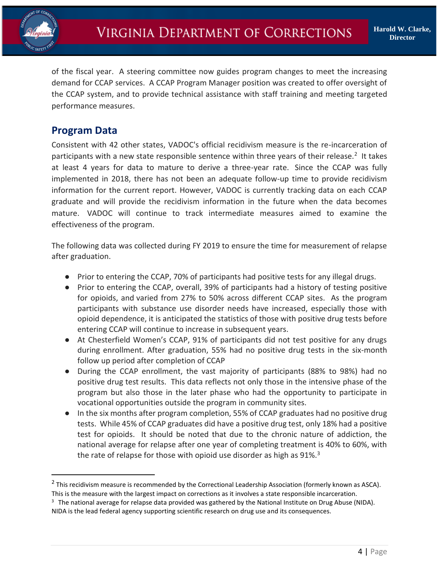

of the fiscal year. A steering committee now guides program changes to meet the increasing demand for CCAP services. A CCAP Program Manager position was created to offer oversight of the CCAP system, and to provide technical assistance with staff training and meeting targeted performance measures.

#### **Program Data**

 $\overline{a}$ 

Consistent with 42 other states, VADOC's official recidivism measure is the re-incarceration of participants with a new state responsible sentence within three years of their release.<sup>2</sup> It takes at least 4 years for data to mature to derive a three-year rate. Since the CCAP was fully implemented in 2018, there has not been an adequate follow-up time to provide recidivism information for the current report. However, VADOC is currently tracking data on each CCAP graduate and will provide the recidivism information in the future when the data becomes mature. VADOC will continue to track intermediate measures aimed to examine the effectiveness of the program.

The following data was collected during FY 2019 to ensure the time for measurement of relapse after graduation.

- Prior to entering the CCAP, 70% of participants had positive tests for any illegal drugs.
- Prior to entering the CCAP, overall, 39% of participants had a history of testing positive for opioids, and varied from 27% to 50% across different CCAP sites. As the program participants with substance use disorder needs have increased, especially those with opioid dependence, it is anticipated the statistics of those with positive drug tests before entering CCAP will continue to increase in subsequent years.
- At Chesterfield Women's CCAP, 91% of participants did not test positive for any drugs during enrollment. After graduation, 55% had no positive drug tests in the six-month follow up period after completion of CCAP
- During the CCAP enrollment, the vast majority of participants (88% to 98%) had no positive drug test results. This data reflects not only those in the intensive phase of the program but also those in the later phase who had the opportunity to participate in vocational opportunities outside the program in community sites.
- In the six months after program completion, 55% of CCAP graduates had no positive drug tests. While 45% of CCAP graduates did have a positive drug test, only 18% had a positive test for opioids. It should be noted that due to the chronic nature of addiction, the national average for relapse after one year of completing treatment is 40% to 60%, with the rate of relapse for those with opioid use disorder as high as 91%.<sup>3</sup>

<sup>&</sup>lt;sup>2</sup> This recidivism measure is recommended by the Correctional Leadership Association (formerly known as ASCA). This is the measure with the largest impact on corrections as it involves a state responsible incarceration.

 $3$  The national average for relapse data provided was gathered by the National Institute on Drug Abuse (NIDA). NIDA is the lead federal agency supporting scientific research on drug use and its consequences.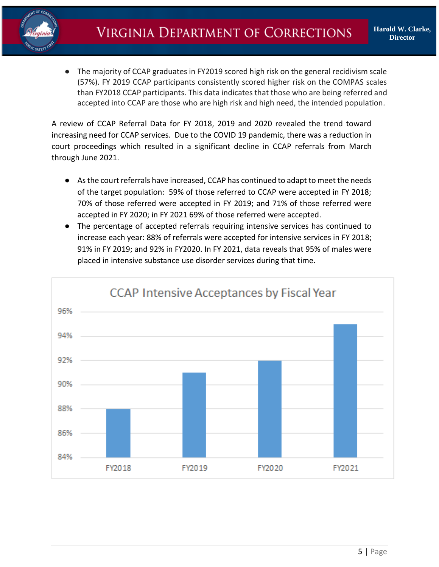

● The majority of CCAP graduates in FY2019 scored high risk on the general recidivism scale (57%). FY 2019 CCAP participants consistently scored higher risk on the COMPAS scales than FY2018 CCAP participants. This data indicates that those who are being referred and accepted into CCAP are those who are high risk and high need, the intended population.

A review of CCAP Referral Data for FY 2018, 2019 and 2020 revealed the trend toward increasing need for CCAP services. Due to the COVID 19 pandemic, there was a reduction in court proceedings which resulted in a significant decline in CCAP referrals from March through June 2021.

- As the court referrals have increased, CCAP has continued to adapt to meet the needs of the target population: 59% of those referred to CCAP were accepted in FY 2018; 70% of those referred were accepted in FY 2019; and 71% of those referred were accepted in FY 2020; in FY 2021 69% of those referred were accepted.
- The percentage of accepted referrals requiring intensive services has continued to increase each year: 88% of referrals were accepted for intensive services in FY 2018; 91% in FY 2019; and 92% in FY2020. In FY 2021, data reveals that 95% of males were placed in intensive substance use disorder services during that time.

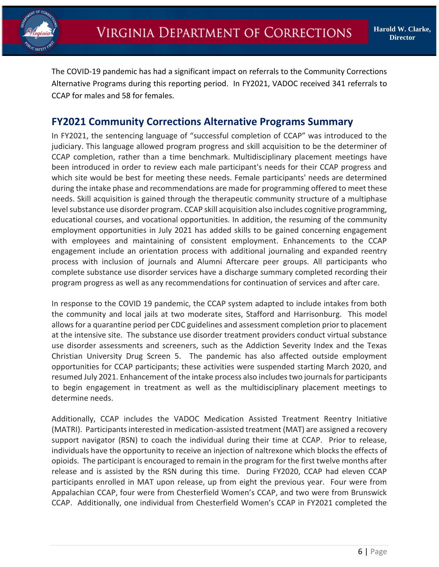

The COVID-19 pandemic has had a significant impact on referrals to the Community Corrections Alternative Programs during this reporting period. In FY2021, VADOC received 341 referrals to CCAP for males and 58 for females.

### **FY2021 Community Corrections Alternative Programs Summary**

In FY2021, the sentencing language of "successful completion of CCAP" was introduced to the judiciary. This language allowed program progress and skill acquisition to be the determiner of CCAP completion, rather than a time benchmark. Multidisciplinary placement meetings have been introduced in order to review each male participant's needs for their CCAP progress and which site would be best for meeting these needs. Female participants' needs are determined during the intake phase and recommendations are made for programming offered to meet these needs. Skill acquisition is gained through the therapeutic community structure of a multiphase level substance use disorder program. CCAP skill acquisition also includes cognitive programming, educational courses, and vocational opportunities. In addition, the resuming of the community employment opportunities in July 2021 has added skills to be gained concerning engagement with employees and maintaining of consistent employment. Enhancements to the CCAP engagement include an orientation process with additional journaling and expanded reentry process with inclusion of journals and Alumni Aftercare peer groups. All participants who complete substance use disorder services have a discharge summary completed recording their program progress as well as any recommendations for continuation of services and after care.

In response to the COVID 19 pandemic, the CCAP system adapted to include intakes from both the community and local jails at two moderate sites, Stafford and Harrisonburg. This model allows for a quarantine period per CDC guidelines and assessment completion prior to placement at the intensive site. The substance use disorder treatment providers conduct virtual substance use disorder assessments and screeners, such as the Addiction Severity Index and the Texas Christian University Drug Screen 5. The pandemic has also affected outside employment opportunities for CCAP participants; these activities were suspended starting March 2020, and resumed July 2021. Enhancement of the intake process also includes two journals for participants to begin engagement in treatment as well as the multidisciplinary placement meetings to determine needs.

Additionally, CCAP includes the VADOC Medication Assisted Treatment Reentry Initiative (MATRI). Participants interested in medication-assisted treatment (MAT) are assigned a recovery support navigator (RSN) to coach the individual during their time at CCAP. Prior to release, individuals have the opportunity to receive an injection of naltrexone which blocks the effects of opioids. The participant is encouraged to remain in the program for the first twelve months after release and is assisted by the RSN during this time. During FY2020, CCAP had eleven CCAP participants enrolled in MAT upon release, up from eight the previous year. Four were from Appalachian CCAP, four were from Chesterfield Women's CCAP, and two were from Brunswick CCAP. Additionally, one individual from Chesterfield Women's CCAP in FY2021 completed the